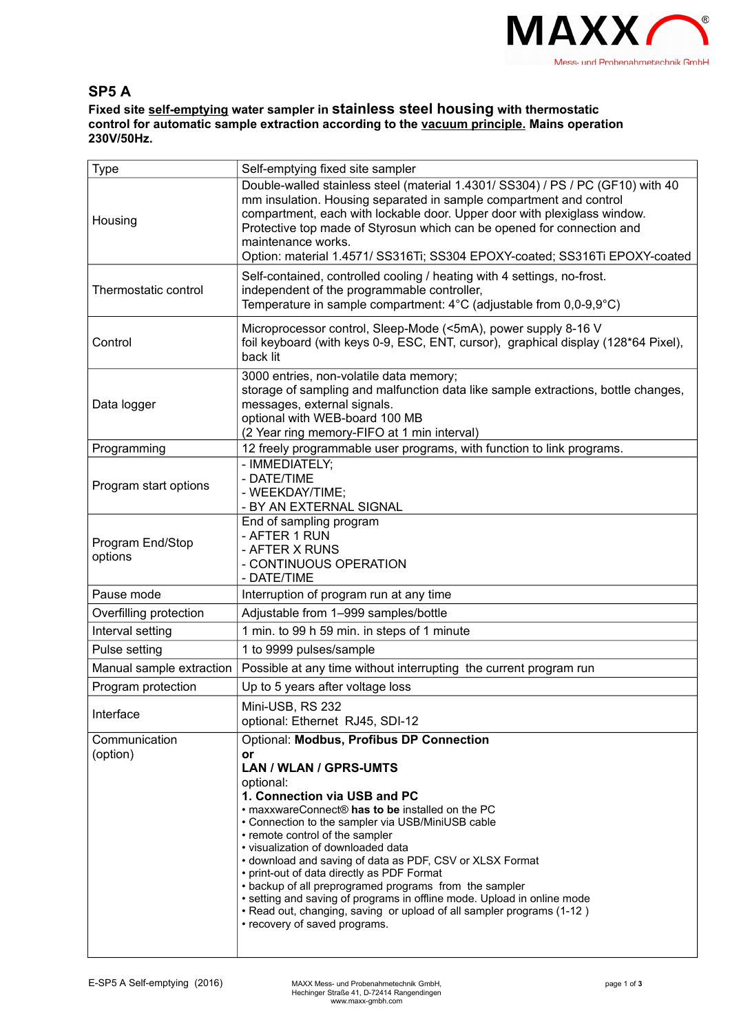

## **SP5 A**

**Fixed site self-emptying water sampler in stainless steel housing with thermostatic control for automatic sample extraction according to the vacuum principle. Mains operation 230V/50Hz.**

| Type                        | Self-emptying fixed site sampler                                                                                                                                                                                                                                                                                                                                                                                                                                                                                                                                                                                                                                        |  |  |
|-----------------------------|-------------------------------------------------------------------------------------------------------------------------------------------------------------------------------------------------------------------------------------------------------------------------------------------------------------------------------------------------------------------------------------------------------------------------------------------------------------------------------------------------------------------------------------------------------------------------------------------------------------------------------------------------------------------------|--|--|
| Housing                     | Double-walled stainless steel (material 1.4301/ SS304) / PS / PC (GF10) with 40<br>mm insulation. Housing separated in sample compartment and control<br>compartment, each with lockable door. Upper door with plexiglass window.<br>Protective top made of Styrosun which can be opened for connection and<br>maintenance works.<br>Option: material 1.4571/ SS316Ti; SS304 EPOXY-coated; SS316Ti EPOXY-coated                                                                                                                                                                                                                                                         |  |  |
| Thermostatic control        | Self-contained, controlled cooling / heating with 4 settings, no-frost.<br>independent of the programmable controller,<br>Temperature in sample compartment: $4^{\circ}$ C (adjustable from 0,0-9,9 $^{\circ}$ C)                                                                                                                                                                                                                                                                                                                                                                                                                                                       |  |  |
| Control                     | Microprocessor control, Sleep-Mode (<5mA), power supply 8-16 V<br>foil keyboard (with keys 0-9, ESC, ENT, cursor), graphical display (128*64 Pixel),<br>back lit                                                                                                                                                                                                                                                                                                                                                                                                                                                                                                        |  |  |
| Data logger                 | 3000 entries, non-volatile data memory;<br>storage of sampling and malfunction data like sample extractions, bottle changes,<br>messages, external signals.<br>optional with WEB-board 100 MB<br>(2 Year ring memory-FIFO at 1 min interval)                                                                                                                                                                                                                                                                                                                                                                                                                            |  |  |
| Programming                 | 12 freely programmable user programs, with function to link programs.                                                                                                                                                                                                                                                                                                                                                                                                                                                                                                                                                                                                   |  |  |
| Program start options       | - IMMEDIATELY;<br>- DATE/TIME<br>- WEEKDAY/TIME;<br>- BY AN EXTERNAL SIGNAL                                                                                                                                                                                                                                                                                                                                                                                                                                                                                                                                                                                             |  |  |
| Program End/Stop<br>options | End of sampling program<br>- AFTER 1 RUN<br>- AFTER X RUNS<br>- CONTINUOUS OPERATION<br>- DATE/TIME                                                                                                                                                                                                                                                                                                                                                                                                                                                                                                                                                                     |  |  |
| Pause mode                  | Interruption of program run at any time                                                                                                                                                                                                                                                                                                                                                                                                                                                                                                                                                                                                                                 |  |  |
| Overfilling protection      | Adjustable from 1-999 samples/bottle                                                                                                                                                                                                                                                                                                                                                                                                                                                                                                                                                                                                                                    |  |  |
| Interval setting            | 1 min. to 99 h 59 min. in steps of 1 minute                                                                                                                                                                                                                                                                                                                                                                                                                                                                                                                                                                                                                             |  |  |
| Pulse setting               | 1 to 9999 pulses/sample                                                                                                                                                                                                                                                                                                                                                                                                                                                                                                                                                                                                                                                 |  |  |
| Manual sample extraction    | Possible at any time without interrupting the current program run                                                                                                                                                                                                                                                                                                                                                                                                                                                                                                                                                                                                       |  |  |
| Program protection          | Up to 5 years after voltage loss                                                                                                                                                                                                                                                                                                                                                                                                                                                                                                                                                                                                                                        |  |  |
| Interface                   | Mini-USB, RS 232<br>optional: Ethernet RJ45, SDI-12                                                                                                                                                                                                                                                                                                                                                                                                                                                                                                                                                                                                                     |  |  |
| Communication<br>(option)   | Optional: Modbus, Profibus DP Connection<br>or<br><b>LAN / WLAN / GPRS-UMTS</b><br>optional:<br>1. Connection via USB and PC<br>• maxxwareConnect® has to be installed on the PC<br>• Connection to the sampler via USB/MiniUSB cable<br>• remote control of the sampler<br>· visualization of downloaded data<br>• download and saving of data as PDF, CSV or XLSX Format<br>• print-out of data directly as PDF Format<br>• backup of all preprogramed programs from the sampler<br>• setting and saving of programs in offline mode. Upload in online mode<br>• Read out, changing, saving or upload of all sampler programs (1-12)<br>• recovery of saved programs. |  |  |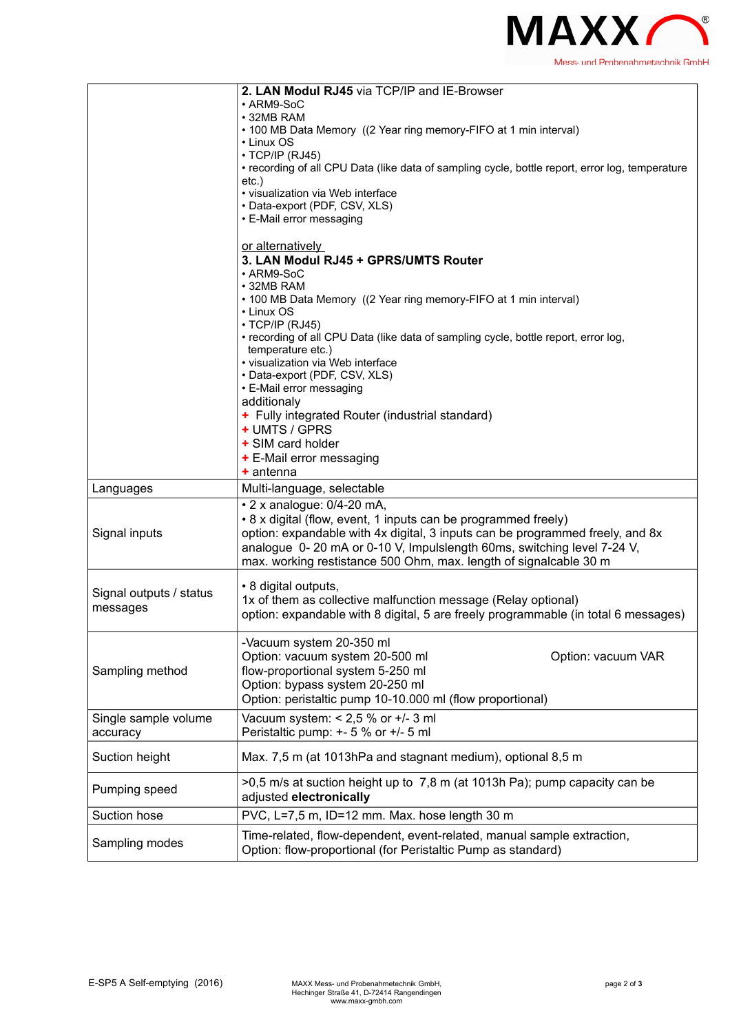

|                                     | 2. LAN Modul RJ45 via TCP/IP and IE-Browser<br>• ARM9-SoC<br>• 32MB RAM<br>• 100 MB Data Memory ((2 Year ring memory-FIFO at 1 min interval)<br>$\cdot$ Linux OS<br>$\cdot$ TCP/IP (RJ45)<br>• recording of all CPU Data (like data of sampling cycle, bottle report, error log, temperature<br>etc.)<br>· visualization via Web interface<br>• Data-export (PDF, CSV, XLS)<br>• E-Mail error messaging |  |
|-------------------------------------|---------------------------------------------------------------------------------------------------------------------------------------------------------------------------------------------------------------------------------------------------------------------------------------------------------------------------------------------------------------------------------------------------------|--|
|                                     | or alternatively<br>3. LAN Modul RJ45 + GPRS/UMTS Router<br>• ARM9-SoC<br>• 32MB RAM<br>• 100 MB Data Memory ((2 Year ring memory-FIFO at 1 min interval)<br>• Linux OS<br>$\cdot$ TCP/IP (RJ45)<br>• recording of all CPU Data (like data of sampling cycle, bottle report, error log,<br>temperature etc.)                                                                                            |  |
|                                     | · visualization via Web interface<br>• Data-export (PDF, CSV, XLS)<br>• E-Mail error messaging<br>additionaly<br>+ Fully integrated Router (industrial standard)<br>+ UMTS / GPRS<br>+ SIM card holder<br>+ E-Mail error messaging<br>$+$ antenna                                                                                                                                                       |  |
| Languages                           | Multi-language, selectable                                                                                                                                                                                                                                                                                                                                                                              |  |
| Signal inputs                       | • 2 x analogue: 0/4-20 mA,<br>• 8 x digital (flow, event, 1 inputs can be programmed freely)<br>option: expandable with 4x digital, 3 inputs can be programmed freely, and 8x<br>analogue 0-20 mA or 0-10 V, Impulslength 60ms, switching level 7-24 V,<br>max. working restistance 500 Ohm, max. length of signalcable 30 m                                                                            |  |
| Signal outputs / status<br>messages | • 8 digital outputs,<br>1x of them as collective malfunction message (Relay optional)<br>option: expandable with 8 digital, 5 are freely programmable (in total 6 messages)                                                                                                                                                                                                                             |  |
| Sampling method                     | -Vacuum system 20-350 ml<br>Option: vacuum system 20-500 ml<br>Option: vacuum VAR<br>flow-proportional system 5-250 ml<br>Option: bypass system 20-250 ml<br>Option: peristaltic pump 10-10.000 ml (flow proportional)                                                                                                                                                                                  |  |
| Single sample volume<br>accuracy    | Vacuum system: $< 2.5$ % or $+/- 3$ ml<br>Peristaltic pump: +- 5 % or +/- 5 ml                                                                                                                                                                                                                                                                                                                          |  |
| Suction height                      | Max. 7,5 m (at 1013hPa and stagnant medium), optional 8,5 m                                                                                                                                                                                                                                                                                                                                             |  |
| Pumping speed                       | >0,5 m/s at suction height up to 7,8 m (at 1013h Pa); pump capacity can be<br>adjusted electronically                                                                                                                                                                                                                                                                                                   |  |
| Suction hose                        | PVC, L=7,5 m, ID=12 mm. Max. hose length 30 m                                                                                                                                                                                                                                                                                                                                                           |  |
| Sampling modes                      | Time-related, flow-dependent, event-related, manual sample extraction,<br>Option: flow-proportional (for Peristaltic Pump as standard)                                                                                                                                                                                                                                                                  |  |